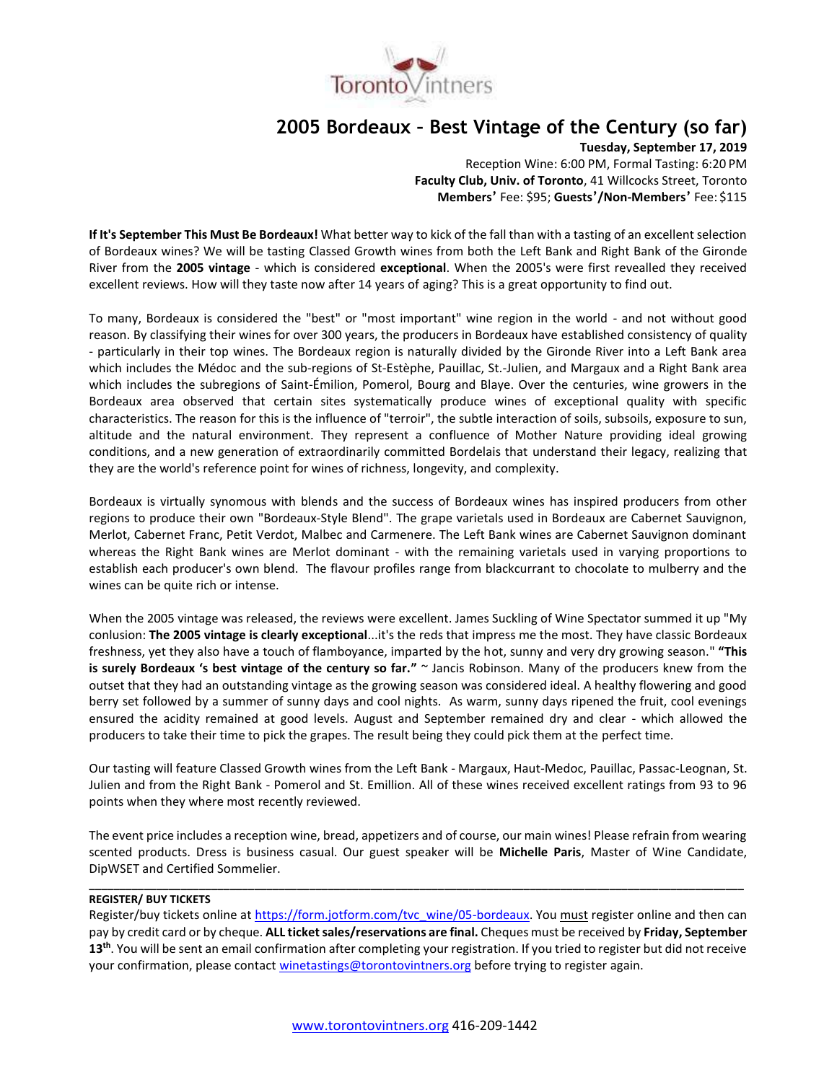

# **2005 Bordeaux – Best Vintage of the Century (so far)**

**Tuesday, September 17, 2019**

Reception Wine: 6:00 PM, Formal Tasting: 6:20 PM **Faculty Club, Univ. of Toronto**, 41 Willcocks Street, Toronto **Members'** Fee: \$95; **Guests'/Non-Members'** Fee: \$115

**If It's September This Must Be Bordeaux!** What better way to kick of the fall than with a tasting of an excellent selection of Bordeaux wines? We will be tasting Classed Growth wines from both the Left Bank and Right Bank of the Gironde River from the **2005 vintage** - which is considered **exceptional**. When the 2005's were first revealled they received excellent reviews. How will they taste now after 14 years of aging? This is a great opportunity to find out.

To many, Bordeaux is considered the "best" or "most important" wine region in the world - and not without good reason. By classifying their wines for over 300 years, the producers in Bordeaux have established consistency of quality - particularly in their top wines. The Bordeaux region is naturally divided by the Gironde River into a Left Bank area which includes the Médoc and the sub-regions of St-Estèphe, Pauillac, St.-Julien, and Margaux and a Right Bank area which includes the subregions of Saint-Émilion, Pomerol, Bourg and Blaye. Over the centuries, wine growers in the Bordeaux area observed that certain sites systematically produce wines of exceptional quality with specific characteristics. The reason for this is the influence of "terroir", the subtle interaction of soils, subsoils, exposure to sun, altitude and the natural environment. They represent a confluence of Mother Nature providing ideal growing conditions, and a new generation of extraordinarily committed Bordelais that understand their legacy, realizing that they are the world's reference point for wines of richness, longevity, and complexity.

Bordeaux is virtually synomous with blends and the success of Bordeaux wines has inspired producers from other regions to produce their own "Bordeaux-Style Blend". The grape varietals used in Bordeaux are Cabernet Sauvignon, Merlot, Cabernet Franc, Petit Verdot, Malbec and Carmenere. The Left Bank wines are Cabernet Sauvignon dominant whereas the Right Bank wines are Merlot dominant - with the remaining varietals used in varying proportions to establish each producer's own blend. The flavour profiles range from blackcurrant to chocolate to mulberry and the wines can be quite rich or intense.

When the 2005 vintage was released, the reviews were excellent. James Suckling of Wine Spectator summed it up "My conlusion: **The 2005 vintage is clearly exceptional**...it's the reds that impress me the most. They have classic Bordeaux freshness, yet they also have a touch of flamboyance, imparted by the hot, sunny and very dry growing season." **"This is surely Bordeaux 's best vintage of the century so far."** ~ Jancis Robinson. Many of the producers knew from the outset that they had an outstanding vintage as the growing season was considered ideal. A healthy flowering and good berry set followed by a summer of sunny days and cool nights. As warm, sunny days ripened the fruit, cool evenings ensured the acidity remained at good levels. August and September remained dry and clear - which allowed the producers to take their time to pick the grapes. The result being they could pick them at the perfect time.

Our tasting will feature Classed Growth wines from the Left Bank - Margaux, Haut-Medoc, Pauillac, Passac-Leognan, St. Julien and from the Right Bank - Pomerol and St. Emillion. All of these wines received excellent ratings from 93 to 96 points when they where most recently reviewed.

The event price includes a reception wine, bread, appetizers and of course, our main wines! Please refrain from wearing scented products. Dress is business casual. Our guest speaker will be **Michelle Paris**, Master of Wine Candidate, DipWSET and Certified Sommelier.

**\_\_\_\_\_\_\_\_\_\_\_\_\_\_\_\_\_\_\_\_\_\_\_\_\_\_\_\_\_\_\_\_\_\_\_\_\_\_\_\_\_\_\_\_\_\_\_\_\_\_\_\_\_\_\_\_\_\_\_\_\_\_\_\_\_\_\_\_\_\_\_\_\_\_\_\_\_\_\_\_\_\_\_\_\_\_\_\_\_\_\_\_\_\_\_\_\_\_\_\_\_\_\_\_\_\_\_**

## **REGISTER/ BUY TICKETS**

Register/buy tickets online at [https://form.jotform.com/tvc\\_wine/05-bordeaux.](https://form.jotform.com/tvc_wine/05-bordeaux) You must register online and then can pay by credit card or by cheque. **ALL ticket sales/reservations are final.** Cheques must be received by **Friday, September 13th**. You will be sent an email confirmation after completing your registration. If you tried to register but did not receive your confirmation, please contac[t winetastings@torontovintners.org](mailto:winetastings@torontovintners.org) before trying to register again.